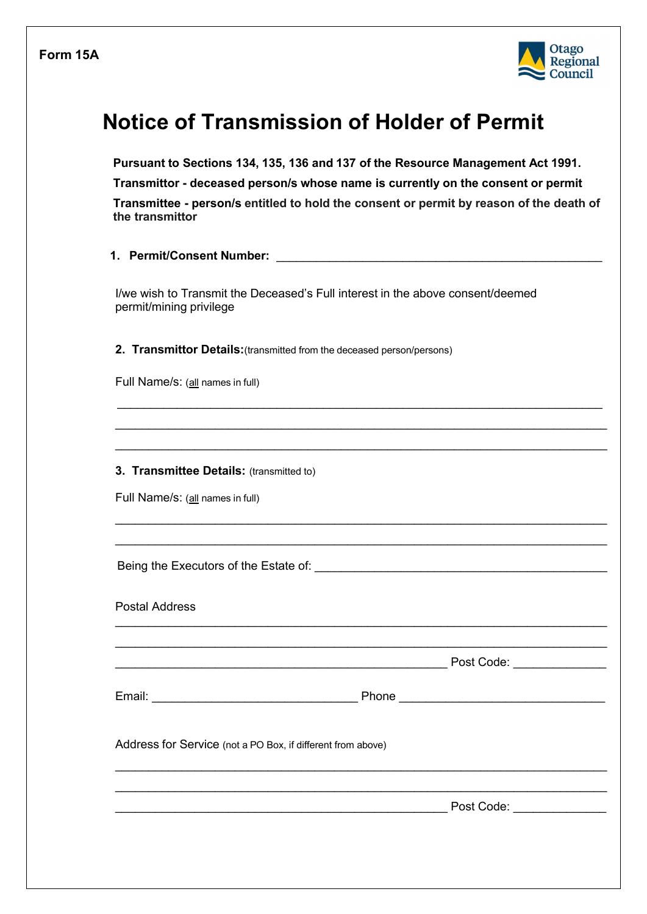

## **Notice of Transmission of Holder of Permit**

**Pursuant to Sections 134, 135, 136 and 137 of the Resource Management Act 1991. Transmittor - deceased person/s whose name is currently on the consent or permit Transmittee - person/s entitled to hold the consent or permit by reason of the death of the transmittor**

 $\_$  , and the set of the set of the set of the set of the set of the set of the set of the set of the set of the set of the set of the set of the set of the set of the set of the set of the set of the set of the set of th  $\mathcal{L}_\text{max}$  and  $\mathcal{L}_\text{max}$  and  $\mathcal{L}_\text{max}$  and  $\mathcal{L}_\text{max}$  and  $\mathcal{L}_\text{max}$  and  $\mathcal{L}_\text{max}$  $\mathcal{L}_\text{max}$  and  $\mathcal{L}_\text{max}$  and  $\mathcal{L}_\text{max}$  and  $\mathcal{L}_\text{max}$  and  $\mathcal{L}_\text{max}$  and  $\mathcal{L}_\text{max}$ 

 $\mathcal{L}_\text{max}$  , and the contract of the contract of the contract of the contract of the contract of the contract of the contract of the contract of the contract of the contract of the contract of the contract of the contr  $\mathcal{L}_\text{max}$  and  $\mathcal{L}_\text{max}$  and  $\mathcal{L}_\text{max}$  and  $\mathcal{L}_\text{max}$  and  $\mathcal{L}_\text{max}$  and  $\mathcal{L}_\text{max}$ 

 $\mathcal{L}_\text{max}$  , and the contract of the contract of the contract of the contract of the contract of the contract of the contract of the contract of the contract of the contract of the contract of the contract of the contr

 $\mathcal{L}_\text{max}$  , and the contract of the contract of the contract of the contract of the contract of the contract of the contract of the contract of the contract of the contract of the contract of the contract of the contr  $\mathcal{L}_\text{max}$  and  $\mathcal{L}_\text{max}$  and  $\mathcal{L}_\text{max}$  and  $\mathcal{L}_\text{max}$  and  $\mathcal{L}_\text{max}$  and  $\mathcal{L}_\text{max}$ 

| 1. Permit/Consent Number: |  |
|---------------------------|--|
|                           |  |

I/we wish to Transmit the Deceased's Full interest in the above consent/deemed permit/mining privilege

**2. Transmittor Details:**(transmitted from the deceased person/persons)

Full Name/s: (all names in full)

## **3. Transmittee Details: (transmitted to)**

Full Name/s: (all names in full)

Being the Executors of the Estate of:  $\blacksquare$ 

Postal Address  $\mathcal{L}_\text{max}$  and  $\mathcal{L}_\text{max}$  and  $\mathcal{L}_\text{max}$  and  $\mathcal{L}_\text{max}$  and  $\mathcal{L}_\text{max}$  and  $\mathcal{L}_\text{max}$ 

 $Post Code:$ 

Email: Email: Email: Email: Email: Email: Email: Email: Email: Email: Email: Email: Email: Email: Email: Email: Email: Email: Email: Email: Email: Email: Email: Email: Email: Email: Email: Email: Email: Email: Email: Email

Address for Service (not a PO Box, if different from above)

\_\_\_\_\_\_\_\_\_\_\_\_\_\_\_\_\_\_\_\_\_\_\_\_\_\_\_\_\_\_\_\_\_\_\_\_\_\_\_\_\_\_\_\_\_\_\_\_\_\_ Post Code: \_\_\_\_\_\_\_\_\_\_\_\_\_\_